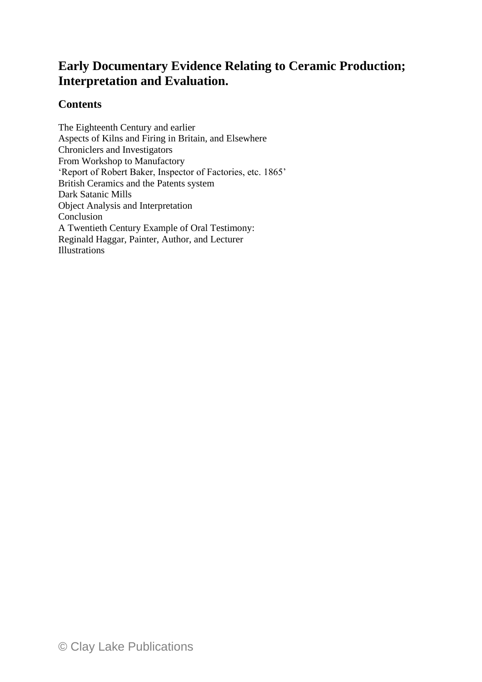## **Early Documentary Evidence Relating to Ceramic Production; Interpretation and Evaluation.**

## **Contents**

The Eighteenth Century and earlier Aspects of Kilns and Firing in Britain, and Elsewhere Chroniclers and Investigators From Workshop to Manufactory 'Report of Robert Baker, Inspector of Factories, etc. 1865' British Ceramics and the Patents system Dark Satanic Mills Object Analysis and Interpretation Conclusion A Twentieth Century Example of Oral Testimony: Reginald Haggar, Painter, Author, and Lecturer Illustrations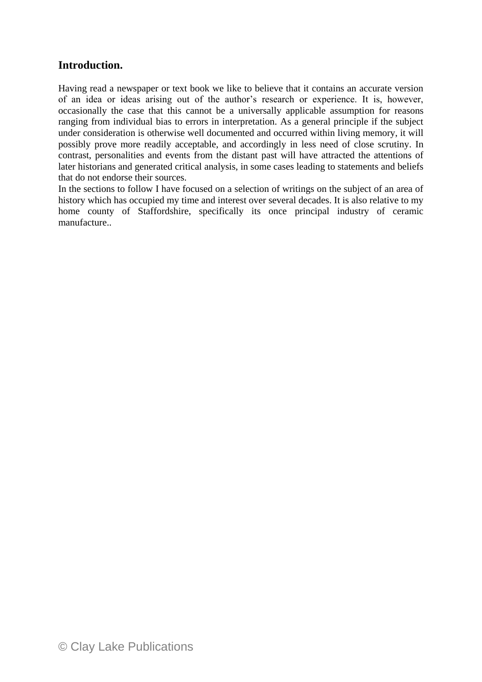## **Introduction.**

Having read a newspaper or text book we like to believe that it contains an accurate version of an idea or ideas arising out of the author's research or experience. It is, however, occasionally the case that this cannot be a universally applicable assumption for reasons ranging from individual bias to errors in interpretation. As a general principle if the subject under consideration is otherwise well documented and occurred within living memory, it will possibly prove more readily acceptable, and accordingly in less need of close scrutiny. In contrast, personalities and events from the distant past will have attracted the attentions of later historians and generated critical analysis, in some cases leading to statements and beliefs that do not endorse their sources.

In the sections to follow I have focused on a selection of writings on the subject of an area of history which has occupied my time and interest over several decades. It is also relative to my home county of Staffordshire, specifically its once principal industry of ceramic manufacture..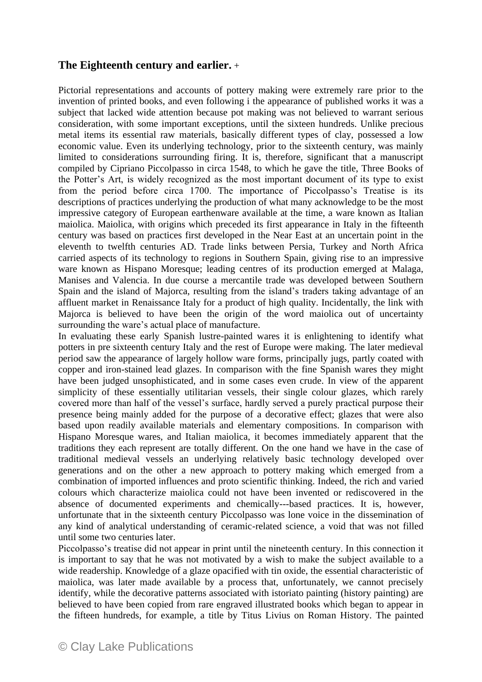## **The Eighteenth century and earlier.** +

Pictorial representations and accounts of pottery making were extremely rare prior to the invention of printed books, and even following i the appearance of published works it was a subject that lacked wide attention because pot making was not believed to warrant serious consideration, with some important exceptions, until the sixteen hundreds. Unlike precious metal items its essential raw materials, basically different types of clay, possessed a low economic value. Even its underlying technology, prior to the sixteenth century, was mainly limited to considerations surrounding firing. It is, therefore, significant that a manuscript compiled by Cipriano Piccolpasso in circa 1548, to which he gave the title, Three Books of the Potter's Art, is widely recognized as the most important document of its type to exist from the period before circa 1700. The importance of Piccolpasso's Treatise is its descriptions of practices underlying the production of what many acknowledge to be the most impressive category of European earthenware available at the time, a ware known as Italian maiolica. Maiolica, with origins which preceded its first appearance in Italy in the fifteenth century was based on practices first developed in the Near East at an uncertain point in the eleventh to twelfth centuries AD. Trade links between Persia, Turkey and North Africa carried aspects of its technology to regions in Southern Spain, giving rise to an impressive ware known as Hispano Moresque; leading centres of its production emerged at Malaga, Manises and Valencia. In due course a mercantile trade was developed between Southern Spain and the island of Majorca, resulting from the island's traders taking advantage of an affluent market in Renaissance Italy for a product of high quality. Incidentally, the link with Majorca is believed to have been the origin of the word maiolica out of uncertainty surrounding the ware's actual place of manufacture.

In evaluating these early Spanish lustre-painted wares it is enlightening to identify what potters in pre sixteenth century Italy and the rest of Europe were making. The later medieval period saw the appearance of largely hollow ware forms, principally jugs, partly coated with copper and iron-stained lead glazes. In comparison with the fine Spanish wares they might have been judged unsophisticated, and in some cases even crude. In view of the apparent simplicity of these essentially utilitarian vessels, their single colour glazes, which rarely covered more than half of the vessel's surface, hardly served a purely practical purpose their presence being mainly added for the purpose of a decorative effect; glazes that were also based upon readily available materials and elementary compositions. In comparison with Hispano Moresque wares, and Italian maiolica, it becomes immediately apparent that the traditions they each represent are totally different. On the one hand we have in the case of traditional medieval vessels an underlying relatively basic technology developed over generations and on the other a new approach to pottery making which emerged from a combination of imported influences and proto scientific thinking. Indeed, the rich and varied colours which characterize maiolica could not have been invented or rediscovered in the absence of documented experiments and chemically---based practices. It is, however, unfortunate that in the sixteenth century Piccolpasso was lone voice in the dissemination of any kind of analytical understanding of ceramic-related science, a void that was not filled until some two centuries later.

Piccolpasso's treatise did not appear in print until the nineteenth century. In this connection it is important to say that he was not motivated by a wish to make the subject available to a wide readership. Knowledge of a glaze opacified with tin oxide, the essential characteristic of maiolica, was later made available by a process that, unfortunately, we cannot precisely identify, while the decorative patterns associated with istoriato painting (history painting) are believed to have been copied from rare engraved illustrated books which began to appear in the fifteen hundreds, for example, a title by Titus Livius on Roman History. The painted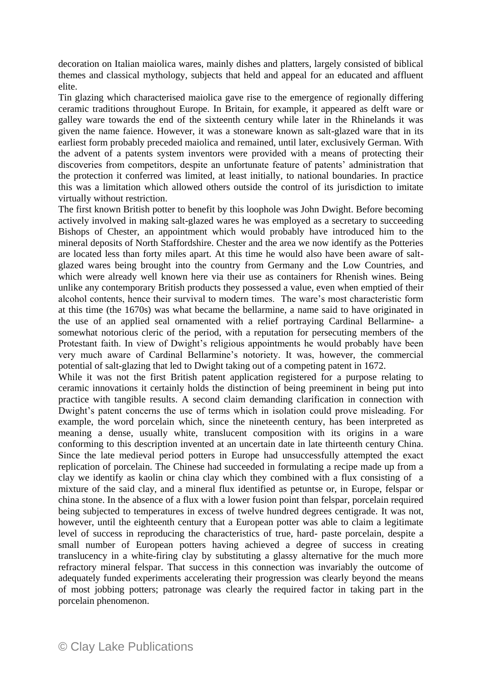decoration on Italian maiolica wares, mainly dishes and platters, largely consisted of biblical themes and classical mythology, subjects that held and appeal for an educated and affluent elite.

Tin glazing which characterised maiolica gave rise to the emergence of regionally differing ceramic traditions throughout Europe. In Britain, for example, it appeared as delft ware or galley ware towards the end of the sixteenth century while later in the Rhinelands it was given the name faience. However, it was a stoneware known as salt-glazed ware that in its earliest form probably preceded maiolica and remained, until later, exclusively German. With the advent of a patents system inventors were provided with a means of protecting their discoveries from competitors, despite an unfortunate feature of patents' administration that the protection it conferred was limited, at least initially, to national boundaries. In practice this was a limitation which allowed others outside the control of its jurisdiction to imitate virtually without restriction.

The first known British potter to benefit by this loophole was John Dwight. Before becoming actively involved in making salt-glazed wares he was employed as a secretary to succeeding Bishops of Chester, an appointment which would probably have introduced him to the mineral deposits of North Staffordshire. Chester and the area we now identify as the Potteries are located less than forty miles apart. At this time he would also have been aware of saltglazed wares being brought into the country from Germany and the Low Countries, and which were already well known here via their use as containers for Rhenish wines. Being unlike any contemporary British products they possessed a value, even when emptied of their alcohol contents, hence their survival to modern times. The ware's most characteristic form at this time (the 1670s) was what became the bellarmine, a name said to have originated in the use of an applied seal ornamented with a relief portraying Cardinal Bellarmine- a somewhat notorious cleric of the period, with a reputation for persecuting members of the Protestant faith. In view of Dwight's religious appointments he would probably have been very much aware of Cardinal Bellarmine's notoriety. It was, however, the commercial potential of salt-glazing that led to Dwight taking out of a competing patent in 1672.

While it was not the first British patent application registered for a purpose relating to ceramic innovations it certainly holds the distinction of being preeminent in being put into practice with tangible results. A second claim demanding clarification in connection with Dwight's patent concerns the use of terms which in isolation could prove misleading. For example, the word porcelain which, since the nineteenth century, has been interpreted as meaning a dense, usually white, translucent composition with its origins in a ware conforming to this description invented at an uncertain date in late thirteenth century China. Since the late medieval period potters in Europe had unsuccessfully attempted the exact replication of porcelain. The Chinese had succeeded in formulating a recipe made up from a clay we identify as kaolin or china clay which they combined with a flux consisting of a mixture of the said clay, and a mineral flux identified as petuntse or, in Europe, felspar or china stone. In the absence of a flux with a lower fusion point than felspar, porcelain required being subjected to temperatures in excess of twelve hundred degrees centigrade. It was not, however, until the eighteenth century that a European potter was able to claim a legitimate level of success in reproducing the characteristics of true, hard- paste porcelain, despite a small number of European potters having achieved a degree of success in creating translucency in a white-firing clay by substituting a glassy alternative for the much more refractory mineral felspar. That success in this connection was invariably the outcome of adequately funded experiments accelerating their progression was clearly beyond the means of most jobbing potters; patronage was clearly the required factor in taking part in the porcelain phenomenon.